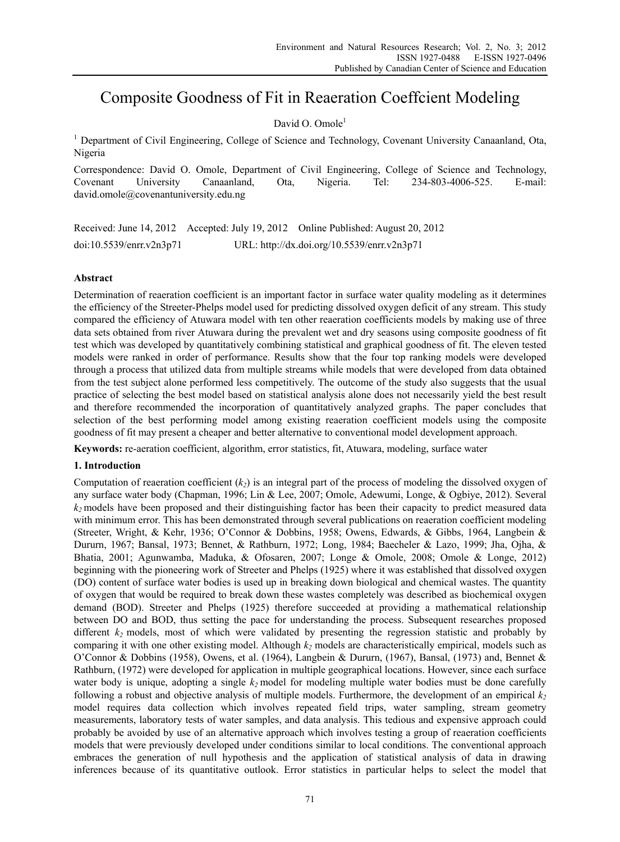# Composite Goodness of Fit in Reaeration Coeffcient Modeling

# David O. Omole<sup>1</sup>

<sup>1</sup> Department of Civil Engineering, College of Science and Technology, Covenant University Canaanland, Ota, Nigeria

Correspondence: David O. Omole, Department of Civil Engineering, College of Science and Technology, Covenant University Canaanland, Ota, Nigeria. Tel: 234-803-4006-525. E-mail: david.omole@covenantuniversity.edu.ng

Received: June 14, 2012 Accepted: July 19, 2012 Online Published: August 20, 2012 doi:10.5539/enrr.v2n3p71 URL: http://dx.doi.org/10.5539/enrr.v2n3p71

# **Abstract**

Determination of reaeration coefficient is an important factor in surface water quality modeling as it determines the efficiency of the Streeter-Phelps model used for predicting dissolved oxygen deficit of any stream. This study compared the efficiency of Atuwara model with ten other reaeration coefficients models by making use of three data sets obtained from river Atuwara during the prevalent wet and dry seasons using composite goodness of fit test which was developed by quantitatively combining statistical and graphical goodness of fit. The eleven tested models were ranked in order of performance. Results show that the four top ranking models were developed through a process that utilized data from multiple streams while models that were developed from data obtained from the test subject alone performed less competitively. The outcome of the study also suggests that the usual practice of selecting the best model based on statistical analysis alone does not necessarily yield the best result and therefore recommended the incorporation of quantitatively analyzed graphs. The paper concludes that selection of the best performing model among existing reaeration coefficient models using the composite goodness of fit may present a cheaper and better alternative to conventional model development approach.

**Keywords:** re-aeration coefficient, algorithm, error statistics, fit, Atuwara, modeling, surface water

# **1. Introduction**

Computation of reaeration coefficient  $(k<sub>2</sub>)$  is an integral part of the process of modeling the dissolved oxygen of any surface water body (Chapman, 1996; Lin & Lee, 2007; Omole, Adewumi, Longe, & Ogbiye, 2012). Several *k2* models have been proposed and their distinguishing factor has been their capacity to predict measured data with minimum error. This has been demonstrated through several publications on reaeration coefficient modeling (Streeter, Wright, & Kehr, 1936; O'Connor & Dobbins, 1958; Owens, Edwards, & Gibbs, 1964, Langbein & Dururn, 1967; Bansal, 1973; Bennet, & Rathburn, 1972; Long, 1984; Baecheler & Lazo, 1999; Jha, Ojha, & Bhatia, 2001; Agunwamba, Maduka, & Ofosaren, 2007; Longe & Omole, 2008; Omole & Longe, 2012) beginning with the pioneering work of Streeter and Phelps (1925) where it was established that dissolved oxygen (DO) content of surface water bodies is used up in breaking down biological and chemical wastes. The quantity of oxygen that would be required to break down these wastes completely was described as biochemical oxygen demand (BOD). Streeter and Phelps (1925) therefore succeeded at providing a mathematical relationship between DO and BOD, thus setting the pace for understanding the process. Subsequent researches proposed different  $k_2$  models, most of which were validated by presenting the regression statistic and probably by comparing it with one other existing model. Although  $k_2$  models are characteristically empirical, models such as O'Connor & Dobbins (1958), Owens, et al. (1964), Langbein & Dururn, (1967), Bansal, (1973) and, Bennet & Rathburn, (1972) were developed for application in multiple geographical locations. However, since each surface water body is unique, adopting a single  $k_2$  model for modeling multiple water bodies must be done carefully following a robust and objective analysis of multiple models. Furthermore, the development of an empirical  $k_2$ model requires data collection which involves repeated field trips, water sampling, stream geometry measurements, laboratory tests of water samples, and data analysis. This tedious and expensive approach could probably be avoided by use of an alternative approach which involves testing a group of reaeration coefficients models that were previously developed under conditions similar to local conditions. The conventional approach embraces the generation of null hypothesis and the application of statistical analysis of data in drawing inferences because of its quantitative outlook. Error statistics in particular helps to select the model that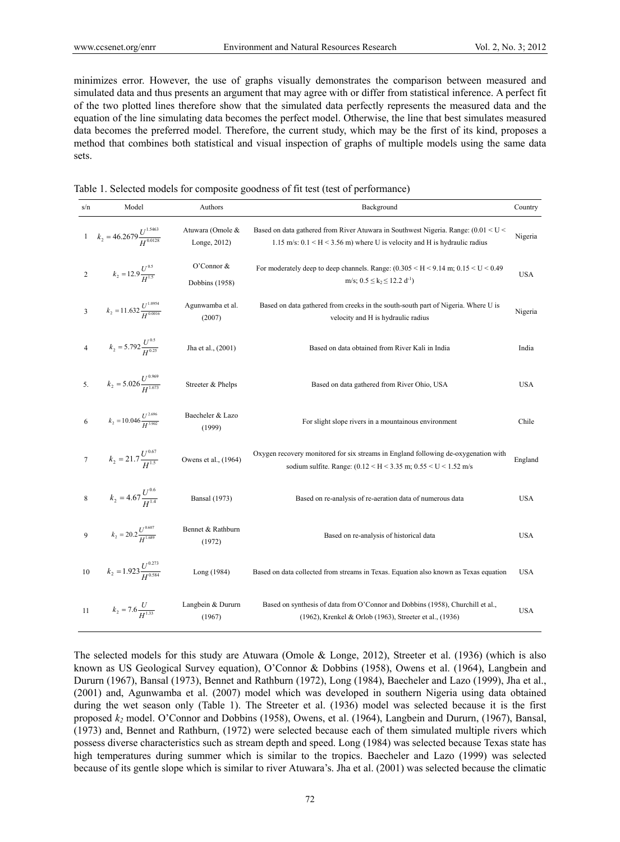minimizes error. However, the use of graphs visually demonstrates the comparison between measured and simulated data and thus presents an argument that may agree with or differ from statistical inference. A perfect fit of the two plotted lines therefore show that the simulated data perfectly represents the measured data and the equation of the line simulating data becomes the perfect model. Otherwise, the line that best simulates measured data becomes the preferred model. Therefore, the current study, which may be the first of its kind, proposes a method that combines both statistical and visual inspection of graphs of multiple models using the same data sets.

|  |  |  |  | Table 1. Selected models for composite goodness of fit test (test of performance) |  |
|--|--|--|--|-----------------------------------------------------------------------------------|--|
|  |  |  |  |                                                                                   |  |

| s/n                     | Model                                           | Authors                          | Background                                                                                                                                                                      | Country    |
|-------------------------|-------------------------------------------------|----------------------------------|---------------------------------------------------------------------------------------------------------------------------------------------------------------------------------|------------|
|                         | 1 $k_2 = 46.2679 \frac{U^{1.5463}}{H^{0.0128}}$ | Atuwara (Omole &<br>Longe, 2012) | Based on data gathered from River Atuwara in Southwest Nigeria. Range: $(0.01 \le U \le$<br>1.15 m/s: $0.1 \leq H \leq 3.56$ m) where U is velocity and H is hydraulic radius   | Nigeria    |
| $\sqrt{2}$              | $k_2 = 12.9 \frac{U^{0.5}}{H^{1.5}}$            | O'Connor &<br>Dobbins (1958)     | For moderately deep to deep channels. Range: $(0.305 \leq H \leq 9.14 \text{ m}; 0.15 \leq U \leq 0.49$<br>m/s; $0.5 \le k_2 \le 12.2 d^{-1}$                                   | <b>USA</b> |
| $\overline{\mathbf{3}}$ | $k_2 = 11.632 \frac{U^{1.0954}}{H^{0.0016}}$    | Agunwamba et al.<br>(2007)       | Based on data gathered from creeks in the south-south part of Nigeria. Where U is<br>velocity and H is hydraulic radius                                                         | Nigeria    |
| $\overline{4}$          | $k_2 = 5.792 \frac{U^{0.5}}{H^{0.25}}$          | Jha et al., (2001)               | Based on data obtained from River Kali in India                                                                                                                                 | India      |
| 5.                      | $k_2 = 5.026 \frac{U^{0.969}}{H^{1.673}}$       | Streeter & Phelps                | Based on data gathered from River Ohio, USA                                                                                                                                     | <b>USA</b> |
| 6                       | $k_2 = 10.046 \frac{U^{2.696}}{H^{3.902}}$      | Baecheler & Lazo<br>(1999)       | For slight slope rivers in a mountainous environment                                                                                                                            | Chile      |
| $\boldsymbol{7}$        | $k_2 = 21.7 \frac{U^{0.67}}{H^{1.5}}$           | Owens et al., (1964)             | Oxygen recovery monitored for six streams in England following de-oxygenation with<br>sodium sulfite. Range: $(0.12 \le H \le 3.35 \text{ m}; 0.55 \le U \le 1.52 \text{ m/s})$ | England    |
| $\,8$                   | $k_2 = 4.67 \frac{U^{0.6}}{H^{1.4}}$            | <b>Bansal</b> (1973)             | Based on re-analysis of re-aeration data of numerous data                                                                                                                       | <b>USA</b> |
| 9                       | $k_2 = 20.2 \frac{U^{0.607}}{H^{1.689}}$        | Bennet & Rathburn<br>(1972)      | Based on re-analysis of historical data                                                                                                                                         | <b>USA</b> |
| $10$                    | $k_2 = 1.923 \frac{U^{0.273}}{H^{0.584}}$       | Long (1984)                      | Based on data collected from streams in Texas. Equation also known as Texas equation                                                                                            | <b>USA</b> |
| 11                      | $k_2 = 7.6 \frac{U}{H^{1.33}}$                  | Langbein & Dururn<br>(1967)      | Based on synthesis of data from O'Connor and Dobbins (1958), Churchill et al.,<br>(1962), Krenkel & Orlob (1963), Streeter et al., (1936)                                       | <b>USA</b> |

The selected models for this study are Atuwara (Omole & Longe, 2012), Streeter et al. (1936) (which is also known as US Geological Survey equation), O'Connor & Dobbins (1958), Owens et al. (1964), Langbein and Dururn (1967), Bansal (1973), Bennet and Rathburn (1972), Long (1984), Baecheler and Lazo (1999), Jha et al., (2001) and, Agunwamba et al. (2007) model which was developed in southern Nigeria using data obtained during the wet season only (Table 1). The Streeter et al. (1936) model was selected because it is the first proposed *k2* model. O'Connor and Dobbins (1958), Owens, et al. (1964), Langbein and Dururn, (1967), Bansal, (1973) and, Bennet and Rathburn, (1972) were selected because each of them simulated multiple rivers which possess diverse characteristics such as stream depth and speed. Long (1984) was selected because Texas state has high temperatures during summer which is similar to the tropics. Baecheler and Lazo (1999) was selected because of its gentle slope which is similar to river Atuwara's. Jha et al. (2001) was selected because the climatic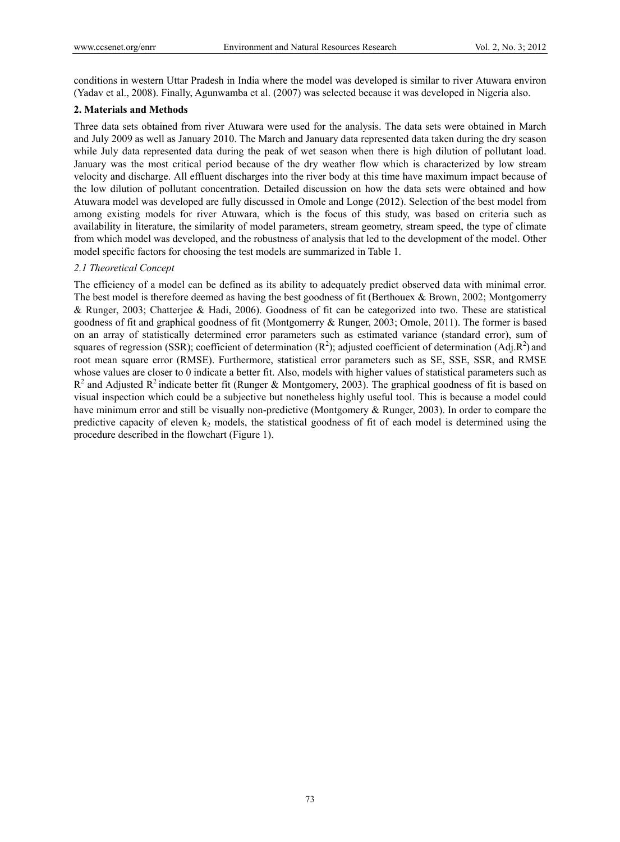conditions in western Uttar Pradesh in India where the model was developed is similar to river Atuwara environ (Yadav et al., 2008). Finally, Agunwamba et al. (2007) was selected because it was developed in Nigeria also.

## **2. Materials and Methods**

Three data sets obtained from river Atuwara were used for the analysis. The data sets were obtained in March and July 2009 as well as January 2010. The March and January data represented data taken during the dry season while July data represented data during the peak of wet season when there is high dilution of pollutant load. January was the most critical period because of the dry weather flow which is characterized by low stream velocity and discharge. All effluent discharges into the river body at this time have maximum impact because of the low dilution of pollutant concentration. Detailed discussion on how the data sets were obtained and how Atuwara model was developed are fully discussed in Omole and Longe (2012). Selection of the best model from among existing models for river Atuwara, which is the focus of this study, was based on criteria such as availability in literature, the similarity of model parameters, stream geometry, stream speed, the type of climate from which model was developed, and the robustness of analysis that led to the development of the model. Other model specific factors for choosing the test models are summarized in Table 1.

## *2.1 Theoretical Concept*

The efficiency of a model can be defined as its ability to adequately predict observed data with minimal error. The best model is therefore deemed as having the best goodness of fit (Berthouex & Brown, 2002; Montgomerry & Runger, 2003; Chatterjee & Hadi, 2006). Goodness of fit can be categorized into two. These are statistical goodness of fit and graphical goodness of fit (Montgomerry & Runger, 2003; Omole, 2011). The former is based on an array of statistically determined error parameters such as estimated variance (standard error), sum of squares of regression (SSR); coefficient of determination  $(R^2)$ ; adjusted coefficient of determination (Adj.R<sup>2</sup>) and root mean square error (RMSE). Furthermore, statistical error parameters such as SE, SSE, SSR, and RMSE whose values are closer to 0 indicate a better fit. Also, models with higher values of statistical parameters such as  $R^2$  and Adjusted  $R^2$  indicate better fit (Runger & Montgomery, 2003). The graphical goodness of fit is based on visual inspection which could be a subjective but nonetheless highly useful tool. This is because a model could have minimum error and still be visually non-predictive (Montgomery & Runger, 2003). In order to compare the predictive capacity of eleven  $k_2$  models, the statistical goodness of fit of each model is determined using the procedure described in the flowchart (Figure 1).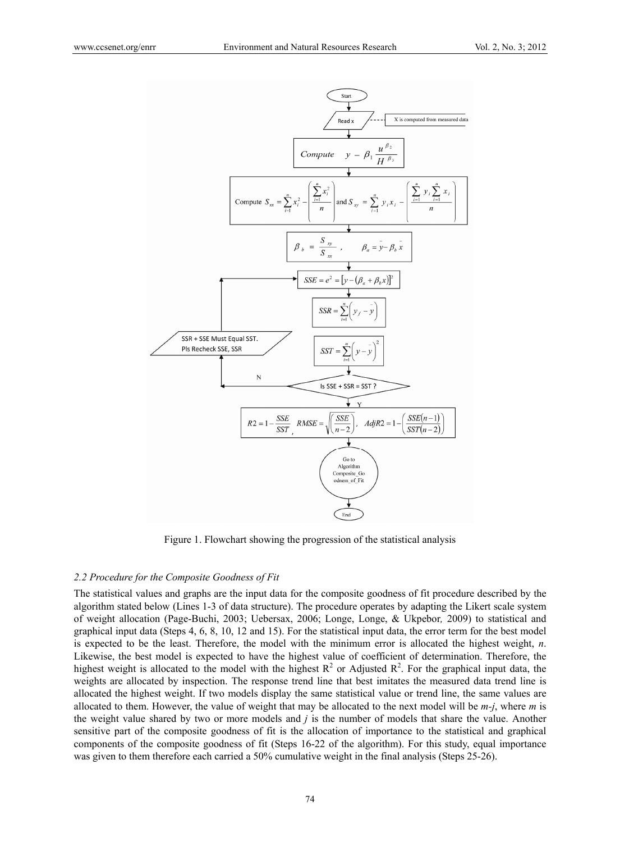

Figure 1. Flowchart showing the progression of the statistical analysis

#### *2.2 Procedure for the Composite Goodness of Fit*

The statistical values and graphs are the input data for the composite goodness of fit procedure described by the algorithm stated below (Lines 1-3 of data structure). The procedure operates by adapting the Likert scale system of weight allocation (Page-Buchi, 2003; Uebersax, 2006; Longe, Longe, & Ukpebor*,* 2009) to statistical and graphical input data (Steps 4, 6, 8, 10, 12 and 15). For the statistical input data, the error term for the best model is expected to be the least. Therefore, the model with the minimum error is allocated the highest weight, *n*. Likewise, the best model is expected to have the highest value of coefficient of determination. Therefore, the highest weight is allocated to the model with the highest  $R^2$  or Adjusted  $R^2$ . For the graphical input data, the weights are allocated by inspection. The response trend line that best imitates the measured data trend line is allocated the highest weight. If two models display the same statistical value or trend line, the same values are allocated to them. However, the value of weight that may be allocated to the next model will be *m-j*, where *m* is the weight value shared by two or more models and *j* is the number of models that share the value. Another sensitive part of the composite goodness of fit is the allocation of importance to the statistical and graphical components of the composite goodness of fit (Steps 16-22 of the algorithm). For this study, equal importance was given to them therefore each carried a 50% cumulative weight in the final analysis (Steps 25-26).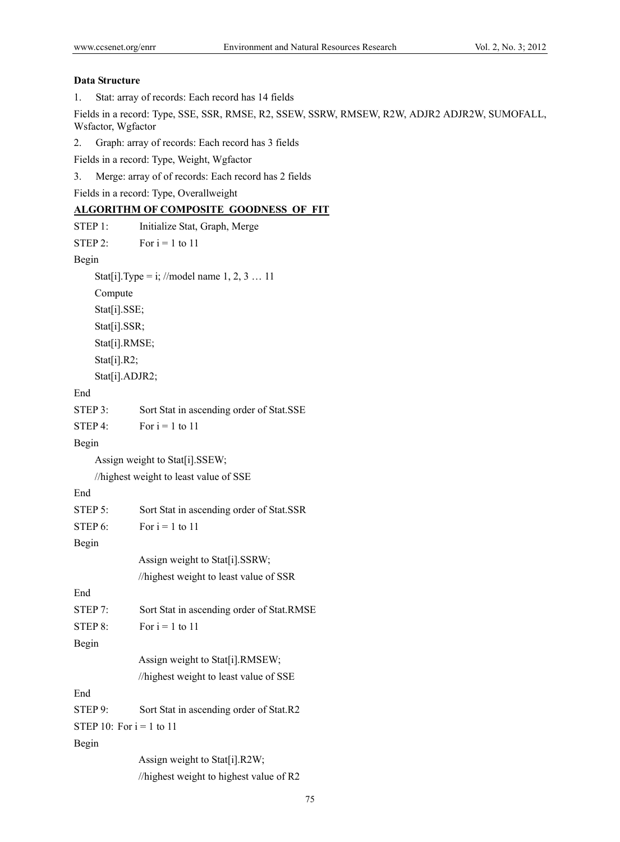## **Data Structure**

1. Stat: array of records: Each record has 14 fields

Fields in a record: Type, SSE, SSR, RMSE, R2, SSEW, SSRW, RMSEW, R2W, ADJR2 ADJR2W, SUMOFALL, Wsfactor, Wgfactor

2. Graph: array of records: Each record has 3 fields

Fields in a record: Type, Weight, Wgfactor

3. Merge: array of of records: Each record has 2 fields

Fields in a record: Type, Overallweight

# **ALGORITHM OF COMPOSITE\_GOODNESS\_OF\_FIT**

| STEP 1:                    | Initialize Stat, Graph, Merge                 |
|----------------------------|-----------------------------------------------|
| STEP 2:                    | For $i = 1$ to 11                             |
| Begin                      |                                               |
|                            | Stat[i]. Type = i; //model name $1, 2, 3  11$ |
| Compute                    |                                               |
| Stat[i].SSE;               |                                               |
| Stat[i].SSR;               |                                               |
| Stat[i].RMSE;              |                                               |
| Stat[i].R2;                |                                               |
| Stat[i].ADJR2;             |                                               |
| End                        |                                               |
| STEP 3:                    | Sort Stat in ascending order of Stat.SSE      |
| STEP 4:                    | For $i = 1$ to 11                             |
| Begin                      |                                               |
|                            | Assign weight to Stat[i].SSEW;                |
|                            | //highest weight to least value of SSE        |
| End                        |                                               |
| STEP 5:                    | Sort Stat in ascending order of Stat.SSR      |
| STEP 6:                    | For $i = 1$ to 11                             |
| Begin                      |                                               |
|                            | Assign weight to Stat[i].SSRW;                |
|                            | //highest weight to least value of SSR        |
| End                        |                                               |
| STEP 7:                    | Sort Stat in ascending order of Stat.RMSE     |
| STEP 8:                    | For $i = 1$ to 11                             |
| Begin                      |                                               |
|                            | Assign weight to Stat[i].RMSEW;               |
|                            | //highest weight to least value of SSE        |
| End                        |                                               |
| STEP 9:                    | Sort Stat in ascending order of Stat.R2       |
| STEP 10: For $i = 1$ to 11 |                                               |
| Begin                      |                                               |
|                            | Assign weight to Stat[i].R2W;                 |
|                            | //highest weight to highest value of R2       |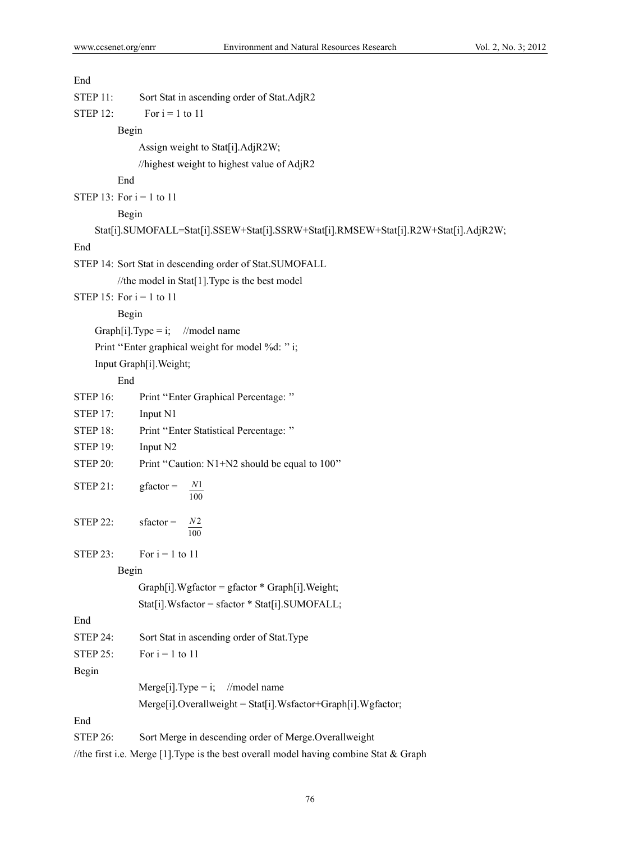| End             |                                                                                      |
|-----------------|--------------------------------------------------------------------------------------|
| <b>STEP 11:</b> | Sort Stat in ascending order of Stat.AdjR2                                           |
| <b>STEP 12:</b> | For $i = 1$ to 11                                                                    |
|                 | Begin                                                                                |
|                 | Assign weight to Stat[i].AdjR2W;                                                     |
|                 | //highest weight to highest value of AdjR2                                           |
|                 | End                                                                                  |
|                 | STEP 13: For $i = 1$ to 11                                                           |
|                 | Begin                                                                                |
|                 | Stat[i].SUMOFALL=Stat[i].SSEW+Stat[i].SSRW+Stat[i].RMSEW+Stat[i].R2W+Stat[i].AdjR2W; |
| End             |                                                                                      |
|                 | STEP 14: Sort Stat in descending order of Stat.SUMOFALL                              |
|                 | //the model in Stat[1]. Type is the best model                                       |
|                 | STEP 15: For $i = 1$ to 11                                                           |
|                 | Begin                                                                                |
|                 | Graph[i]. Type = i; //model name                                                     |
|                 | Print "Enter graphical weight for model %d: "i;                                      |
|                 | Input Graph[i]. Weight;                                                              |
|                 | End                                                                                  |
| <b>STEP 16:</b> | Print "Enter Graphical Percentage:"                                                  |
| <b>STEP 17:</b> | Input N1                                                                             |
| <b>STEP 18:</b> | Print "Enter Statistical Percentage:"                                                |
| <b>STEP 19:</b> | Input N2                                                                             |
| <b>STEP 20:</b> | Print "Caution: N1+N2 should be equal to 100"                                        |
| <b>STEP 21:</b> | N <sub>1</sub><br>$gfactor =$<br>100                                                 |
| <b>STEP 22:</b> | N <sub>2</sub><br>$sfactor =$<br>100                                                 |
| <b>STEP 23:</b> | For $i = 1$ to 11                                                                    |
|                 | Begin                                                                                |
|                 | $Graph[i].Wgfactor = gfactor * Graph[i].Weight;$                                     |
|                 | Stat[i].Wsfactor = sfactor * Stat[i].SUMOFALL;                                       |
| End             |                                                                                      |
| <b>STEP 24:</b> | Sort Stat in ascending order of Stat. Type                                           |
| <b>STEP 25:</b> | For $i = 1$ to 11                                                                    |
| Begin           |                                                                                      |
|                 | $Merge[i].Type = i;$<br>//model name                                                 |
|                 | Merge[i].Overallweight = Stat[i].Wsfactor+Graph[i].Wgfactor;                         |
| End             |                                                                                      |
| <b>STEP 26:</b> | Sort Merge in descending order of Merge.Overallweight                                |

//the first i.e. Merge [1]. Type is the best overall model having combine Stat & Graph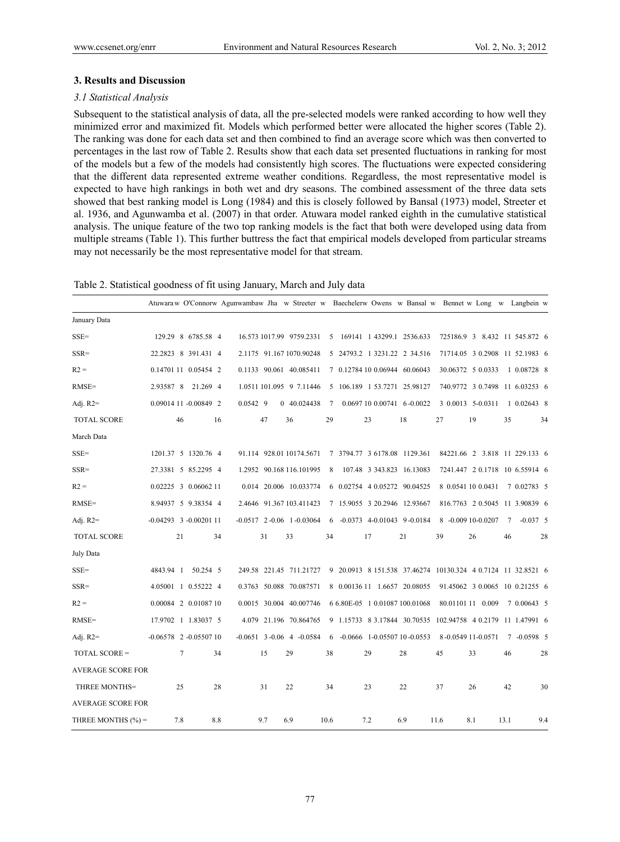## **3. Results and Discussion**

#### *3.1 Statistical Analysis*

Subsequent to the statistical analysis of data, all the pre-selected models were ranked according to how well they minimized error and maximized fit. Models which performed better were allocated the higher scores (Table 2). The ranking was done for each data set and then combined to find an average score which was then converted to percentages in the last row of Table 2. Results show that each data set presented fluctuations in ranking for most of the models but a few of the models had consistently high scores. The fluctuations were expected considering that the different data represented extreme weather conditions. Regardless, the most representative model is expected to have high rankings in both wet and dry seasons. The combined assessment of the three data sets showed that best ranking model is Long (1984) and this is closely followed by Bansal (1973) model, Streeter et al. 1936, and Agunwamba et al. (2007) in that order. Atuwara model ranked eighth in the cumulative statistical analysis. The unique feature of the two top ranking models is the fact that both were developed using data from multiple streams (Table 1). This further buttress the fact that empirical models developed from particular streams may not necessarily be the most representative model for that stream.

| Table 2. Statistical goodness of fit using January, March and July data |  |  |  |  |
|-------------------------------------------------------------------------|--|--|--|--|
|                                                                         |  |  |  |  |

|                          | Atuwara w O'Connorw Agunwambaw Jha w Streeter w Baechelerw Owens w Bansal w Bennet w Long w Langbein w |            |     |                                  |      |  |                              |                                                              |      |                                |      |              |     |
|--------------------------|--------------------------------------------------------------------------------------------------------|------------|-----|----------------------------------|------|--|------------------------------|--------------------------------------------------------------|------|--------------------------------|------|--------------|-----|
| January Data             |                                                                                                        |            |     |                                  |      |  |                              |                                                              |      |                                |      |              |     |
| $SSE =$                  | 129.29 8 6785.58 4                                                                                     |            |     | 16.573 1017.99 9759.2331         |      |  |                              | 5 169141 1 43299.1 2536.633                                  |      | 725186.9 3 8.432 11 545.872 6  |      |              |     |
| $SSR =$                  | 22.2823 8 391.431 4                                                                                    |            |     | 2.1175 91.167 1070.90248         |      |  |                              | 5 24793.2 1 3231.22 2 34.516                                 |      | 71714.05 3 0.2908 11 52.1983 6 |      |              |     |
| $R2 =$                   | 0.14701 11 0.05454 2                                                                                   |            |     | 0.1133 90.061 40.085411          |      |  |                              | 7 0.12784 10 0.06944 60.06043                                |      | 30.06372 5 0.0333              |      | 1 0.08728 8  |     |
| $RMSE=$                  | 2.93587 8 21.269 4                                                                                     |            |     | 1.0511 101.095 9 7.11446         |      |  | 5 106.189 1 53.7271 25.98127 |                                                              |      | 740.9772 3 0.7498 11 6.03253 6 |      |              |     |
| Adj. $R2=$               | 0.09014 11 -0.00849 2                                                                                  | $0.0542$ 9 |     | 0 40.024438                      | 7    |  |                              | 0.0697 10 0.00741 6-0.0022                                   |      | 3 0.0013 5-0.0311              |      | 1 0.02643 8  |     |
| <b>TOTAL SCORE</b>       | 46<br>16                                                                                               |            | 47  | 36                               | 29   |  | 23                           | 18                                                           | 27   | 19                             | 35   |              | 34  |
| March Data               |                                                                                                        |            |     |                                  |      |  |                              |                                                              |      |                                |      |              |     |
| $SSE =$                  | 1201.37 5 1320.76 4                                                                                    |            |     | 91.114 928.01 10174.5671         |      |  | 7 3794.77 3 6178.08 1129.361 |                                                              |      | 84221.66 2 3.818 11 229.133 6  |      |              |     |
| $SSR =$                  | 27.3381 5 85.2295 4                                                                                    |            |     | 1.2952 90.168 116.101995         | 8    |  | 107.48 3 343.823 16.13083    |                                                              |      | 7241.447 2 0.1718 10 6.55914 6 |      |              |     |
| $R2 =$                   | 0.02225 3 0.06062 11                                                                                   |            |     | 0.014 20.006 10.033774           |      |  | 6 0.02754 4 0.05272 90.04525 |                                                              |      | 8 0.0541 10 0.0431             |      | 7 0.02783 5  |     |
| $RMSE=$                  | 8.94937 5 9.38354 4                                                                                    |            |     | 2.4646 91.367 103.411423         |      |  | 7 15.9055 3 20.2946 12.93667 |                                                              |      | 816.7763 2 0.5045 11 3.90839 6 |      |              |     |
| Adj. $R2=$               | $-0.04293$ 3 $-0.0020111$                                                                              |            |     | $-0.0517$ 2 $-0.06$ 1 $-0.03064$ |      |  |                              | $6 -0.0373 +0.01043 +9 -0.0184$                              |      | 8 -0.009 10-0.0207             | 7    | $-0.037$ 5   |     |
| <b>TOTAL SCORE</b>       | 21<br>34                                                                                               |            | 31  | 33                               | 34   |  | 17                           | 21                                                           | 39   | 26                             | 46   |              | 28  |
| July Data                |                                                                                                        |            |     |                                  |      |  |                              |                                                              |      |                                |      |              |     |
| $SSE =$                  | 4843.94 1 50.254 5                                                                                     |            |     | 249.58 221.45 711.21727          |      |  |                              | 9 20.0913 8 151.538 37.46274 10130.324 4 0.7124 11 32.8521 6 |      |                                |      |              |     |
| $SSR =$                  | 4.05001 1 0.55222 4                                                                                    |            |     | 0.3763 50.088 70.087571          |      |  |                              | 8 0.00136 11 1.6657 20.08055                                 |      | 91.45062 3 0.0065 10 0.21255 6 |      |              |     |
| $R2 =$                   | 0.00084 2 0.01087 10                                                                                   |            |     | 0.0015 30.004 40.007746          |      |  |                              | 6 6.80E-05 1 0.01087 100.01068                               |      | 80.01101 11 0.009              |      | 7 0.00643 5  |     |
| $RMSE=$                  | 17.9702 1 1.83037 5                                                                                    |            |     | 4.079 21.196 70.864765           |      |  |                              | 9 1.15733 8 3.17844 30.70535 102.94758 4 0.2179 11 1.47991 6 |      |                                |      |              |     |
| Adj. $R2=$               | $-0.06578$ 2 $-0.0550710$                                                                              |            |     | $-0.0651$ 3 $-0.06$ 4 $-0.0584$  | 6    |  |                              | $-0.0666$ 1-0.05507 10-0.0553                                |      | 8-0.0549 11-0.0571             |      | $7 -0.05985$ |     |
| TOTAL SCORE =            | 7<br>34                                                                                                |            | 15  | 29                               | 38   |  | 29                           | 28                                                           | 45   | 33                             | 46   |              | 28  |
| <b>AVERAGE SCORE FOR</b> |                                                                                                        |            |     |                                  |      |  |                              |                                                              |      |                                |      |              |     |
| THREE MONTHS=            | 25<br>28                                                                                               |            | 31  | 22                               | 34   |  | 23                           | 22                                                           | 37   | 26                             | 42   |              | 30  |
| <b>AVERAGE SCORE FOR</b> |                                                                                                        |            |     |                                  |      |  |                              |                                                              |      |                                |      |              |     |
| THREE MONTHS (%) =       | 7.8<br>8.8                                                                                             |            | 9.7 | 6.9                              | 10.6 |  | 7.2                          | 6.9                                                          | 11.6 | 8.1                            | 13.1 |              | 9.4 |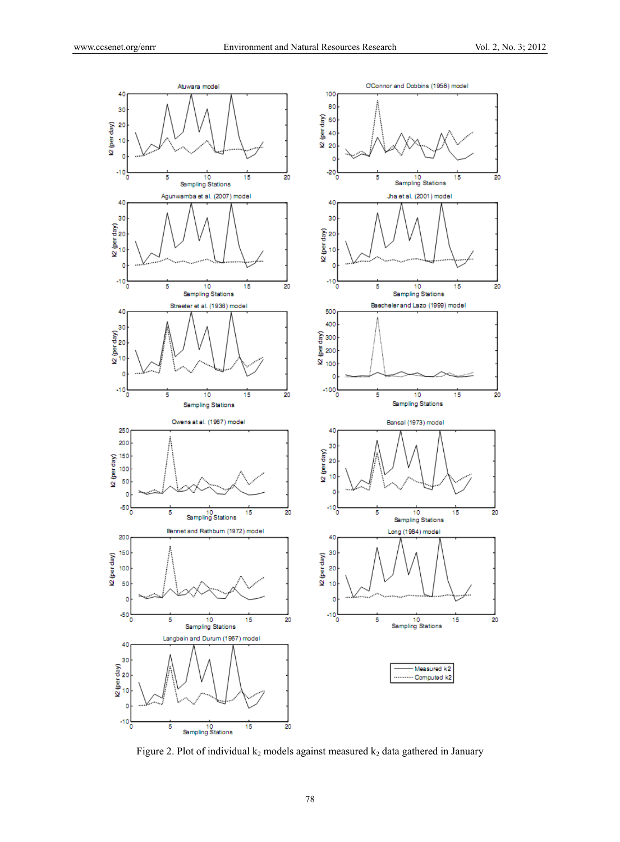

Figure 2. Plot of individual  $k_2$  models against measured  $k_2$  data gathered in January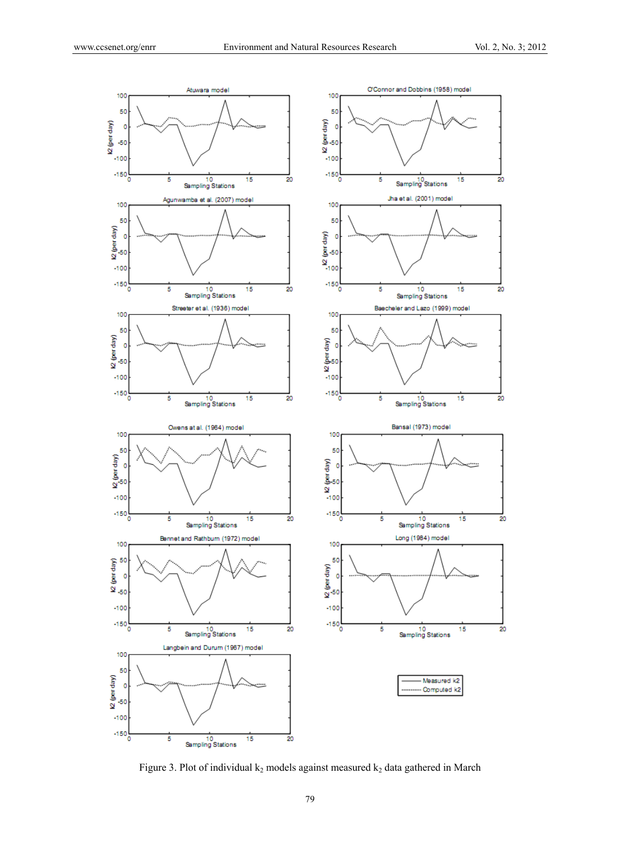

Figure 3. Plot of individual  $k_2$  models against measured  $k_2$  data gathered in March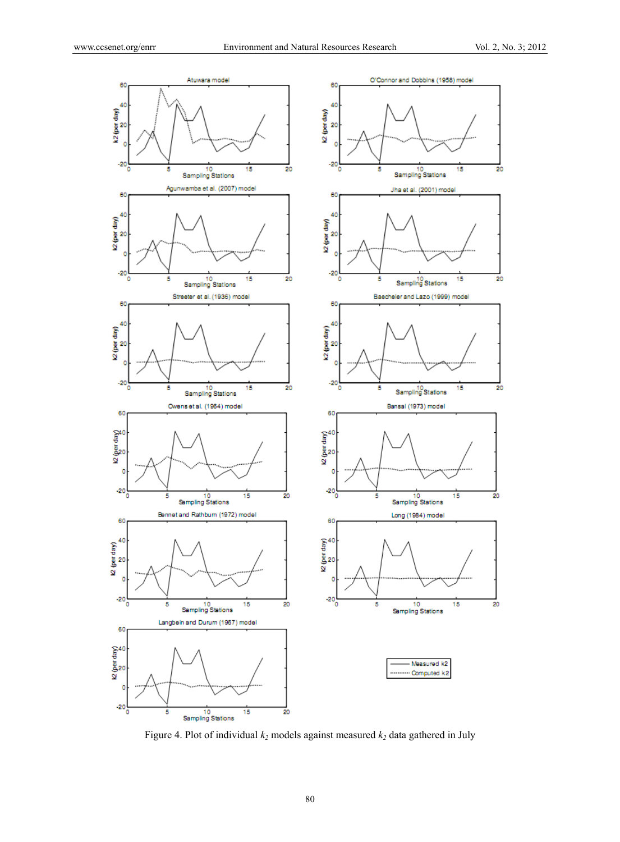

Figure 4. Plot of individual  $k_2$  models against measured  $k_2$  data gathered in July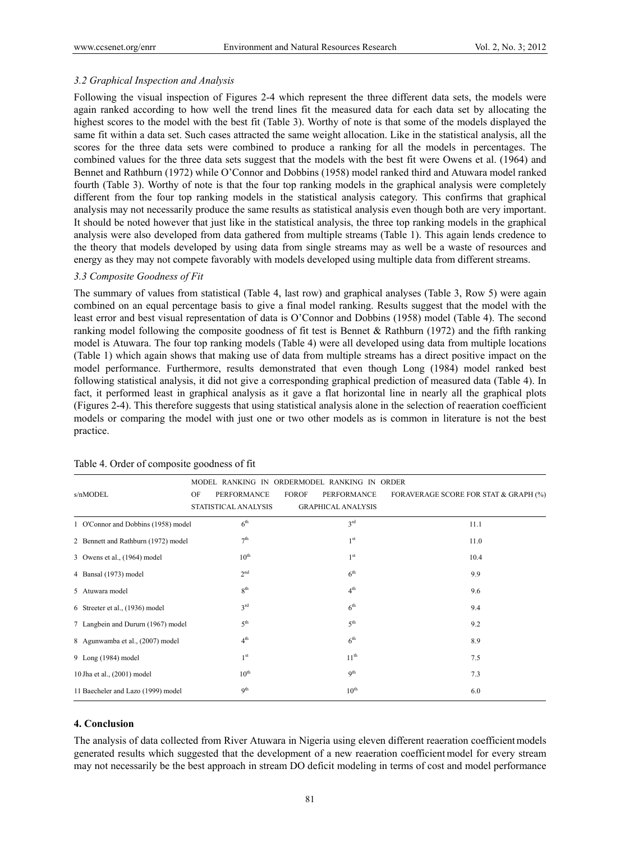## *3.2 Graphical Inspection and Analysis*

Following the visual inspection of Figures 2-4 which represent the three different data sets, the models were again ranked according to how well the trend lines fit the measured data for each data set by allocating the highest scores to the model with the best fit (Table 3). Worthy of note is that some of the models displayed the same fit within a data set. Such cases attracted the same weight allocation. Like in the statistical analysis, all the scores for the three data sets were combined to produce a ranking for all the models in percentages. The combined values for the three data sets suggest that the models with the best fit were Owens et al. (1964) and Bennet and Rathburn (1972) while O'Connor and Dobbins (1958) model ranked third and Atuwara model ranked fourth (Table 3). Worthy of note is that the four top ranking models in the graphical analysis were completely different from the four top ranking models in the statistical analysis category. This confirms that graphical analysis may not necessarily produce the same results as statistical analysis even though both are very important. It should be noted however that just like in the statistical analysis, the three top ranking models in the graphical analysis were also developed from data gathered from multiple streams (Table 1). This again lends credence to the theory that models developed by using data from single streams may as well be a waste of resources and energy as they may not compete favorably with models developed using multiple data from different streams.

#### *3.3 Composite Goodness of Fit*

The summary of values from statistical (Table 4, last row) and graphical analyses (Table 3, Row 5) were again combined on an equal percentage basis to give a final model ranking. Results suggest that the model with the least error and best visual representation of data is O'Connor and Dobbins (1958) model (Table 4). The second ranking model following the composite goodness of fit test is Bennet & Rathburn (1972) and the fifth ranking model is Atuwara. The four top ranking models (Table 4) were all developed using data from multiple locations (Table 1) which again shows that making use of data from multiple streams has a direct positive impact on the model performance. Furthermore, results demonstrated that even though Long (1984) model ranked best following statistical analysis, it did not give a corresponding graphical prediction of measured data (Table 4). In fact, it performed least in graphical analysis as it gave a flat horizontal line in nearly all the graphical plots (Figures 2-4). This therefore suggests that using statistical analysis alone in the selection of reaeration coefficient models or comparing the model with just one or two other models as is common in literature is not the best practice.

|                                     |                          | MODEL RANKING IN ORDERMODEL RANKING IN ORDER |                                       |  |  |
|-------------------------------------|--------------------------|----------------------------------------------|---------------------------------------|--|--|
| s/nMODEL                            | <b>PERFORMANCE</b><br>OF | <b>FOROF</b><br>PERFORMANCE                  | FORAVERAGE SCORE FOR STAT & GRAPH (%) |  |  |
|                                     | STATISTICAL ANALYSIS     | <b>GRAPHICAL ANALYSIS</b>                    |                                       |  |  |
| 1 O'Connor and Dobbins (1958) model | 6 <sup>th</sup>          | $3^{\text{rd}}$                              | 11.1                                  |  |  |
| 2 Bennett and Rathburn (1972) model | 7 <sup>th</sup>          | 1 <sup>st</sup>                              | 11.0                                  |  |  |
| 3 Owens et al., (1964) model        | $10^{\text{th}}$         | 1 <sup>st</sup>                              | 10.4                                  |  |  |
| 4 Bansal (1973) model               | 2 <sup>nd</sup>          | 6 <sup>th</sup>                              | 9.9                                   |  |  |
| 5 Atuwara model                     | 8 <sup>th</sup>          | 4 <sup>th</sup>                              | 9.6                                   |  |  |
| 6 Streeter et al., (1936) model     | $3^{\text{rd}}$          | 6 <sup>th</sup>                              | 9.4                                   |  |  |
| 7 Langbein and Dururn (1967) model  | 5 <sup>th</sup>          | 5 <sup>th</sup>                              | 9.2                                   |  |  |
| 8 Agunwamba et al., (2007) model    | 4 <sup>th</sup>          | 6 <sup>th</sup>                              | 8.9                                   |  |  |
| 9 Long (1984) model                 | 1 <sup>st</sup>          | 11 <sup>th</sup>                             | 7.5                                   |  |  |
| 10 Jha et al., (2001) model         | $10^{\text{th}}$         | 9 <sup>th</sup>                              | 7.3                                   |  |  |
| 11 Baecheler and Lazo (1999) model  | 9 <sup>th</sup>          | $10^{\text{th}}$                             | 6.0                                   |  |  |

#### Table 4. Order of composite goodness of fit

## **4. Conclusion**

The analysis of data collected from River Atuwara in Nigeria using eleven different reaeration coefficient models generated results which suggested that the development of a new reaeration coefficient model for every stream may not necessarily be the best approach in stream DO deficit modeling in terms of cost and model performance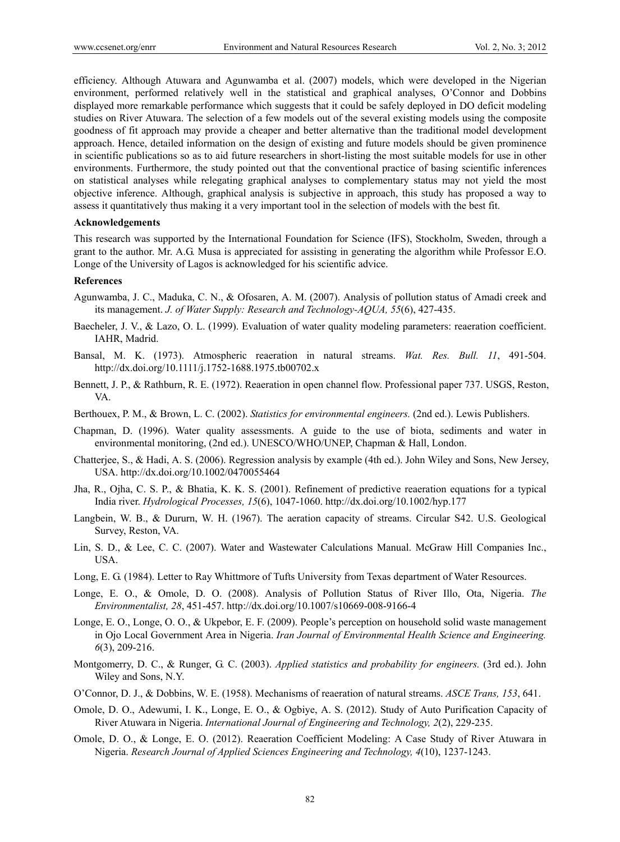efficiency. Although Atuwara and Agunwamba et al. (2007) models, which were developed in the Nigerian environment, performed relatively well in the statistical and graphical analyses, O'Connor and Dobbins displayed more remarkable performance which suggests that it could be safely deployed in DO deficit modeling studies on River Atuwara. The selection of a few models out of the several existing models using the composite goodness of fit approach may provide a cheaper and better alternative than the traditional model development approach. Hence, detailed information on the design of existing and future models should be given prominence in scientific publications so as to aid future researchers in short-listing the most suitable models for use in other environments. Furthermore, the study pointed out that the conventional practice of basing scientific inferences on statistical analyses while relegating graphical analyses to complementary status may not yield the most objective inference. Although, graphical analysis is subjective in approach, this study has proposed a way to assess it quantitatively thus making it a very important tool in the selection of models with the best fit.

#### **Acknowledgements**

This research was supported by the International Foundation for Science (IFS), Stockholm, Sweden, through a grant to the author. Mr. A.G. Musa is appreciated for assisting in generating the algorithm while Professor E.O. Longe of the University of Lagos is acknowledged for his scientific advice.

#### **References**

- Agunwamba, J. C., Maduka, C. N., & Ofosaren, A. M. (2007). Analysis of pollution status of Amadi creek and its management. *J. of Water Supply: Research and Technology-AQUA, 55*(6), 427-435.
- Baecheler, J. V., & Lazo, O. L. (1999). Evaluation of water quality modeling parameters: reaeration coefficient. IAHR, Madrid.
- Bansal, M. K. (1973). Atmospheric reaeration in natural streams. *Wat. Res. Bull. 11*, 491-504. http://dx.doi.org/10.1111/j.1752-1688.1975.tb00702.x
- Bennett, J. P., & Rathburn, R. E. (1972). Reaeration in open channel flow. Professional paper 737. USGS, Reston, VA.
- Berthouex, P. M., & Brown, L. C. (2002). *Statistics for environmental engineers.* (2nd ed.). Lewis Publishers.
- Chapman, D. (1996). Water quality assessments. A guide to the use of biota, sediments and water in environmental monitoring, (2nd ed.). UNESCO/WHO/UNEP, Chapman & Hall, London.
- Chatterjee, S., & Hadi, A. S. (2006). Regression analysis by example (4th ed.). John Wiley and Sons, New Jersey, USA. http://dx.doi.org/10.1002/0470055464
- Jha, R., Ojha, C. S. P., & Bhatia, K. K. S. (2001). Refinement of predictive reaeration equations for a typical India river. *Hydrological Processes, 15*(6), 1047-1060. http://dx.doi.org/10.1002/hyp.177
- Langbein, W. B., & Dururn, W. H. (1967). The aeration capacity of streams. Circular S42. U.S. Geological Survey, Reston, VA.
- Lin, S. D., & Lee, C. C. (2007). Water and Wastewater Calculations Manual. McGraw Hill Companies Inc., USA.
- Long, E. G. (1984). Letter to Ray Whittmore of Tufts University from Texas department of Water Resources.
- Longe, E. O., & Omole, D. O. (2008). Analysis of Pollution Status of River Illo, Ota, Nigeria. *The Environmentalist, 28*, 451-457. http://dx.doi.org/10.1007/s10669-008-9166-4
- Longe, E. O., Longe, O. O., & Ukpebor, E. F. (2009). People's perception on household solid waste management in Ojo Local Government Area in Nigeria. *Iran Journal of Environmental Health Science and Engineering. 6*(3), 209-216.
- Montgomerry, D. C., & Runger, G. C. (2003). *Applied statistics and probability for engineers.* (3rd ed.). John Wiley and Sons, N.Y.
- O'Connor, D. J., & Dobbins, W. E. (1958). Mechanisms of reaeration of natural streams. *ASCE Trans, 153*, 641.
- Omole, D. O., Adewumi, I. K., Longe, E. O., & Ogbiye, A. S. (2012). Study of Auto Purification Capacity of River Atuwara in Nigeria. *International Journal of Engineering and Technology, 2*(2), 229-235.
- Omole, D. O., & Longe, E. O. (2012). Reaeration Coefficient Modeling: A Case Study of River Atuwara in Nigeria. *Research Journal of Applied Sciences Engineering and Technology, 4*(10), 1237-1243.